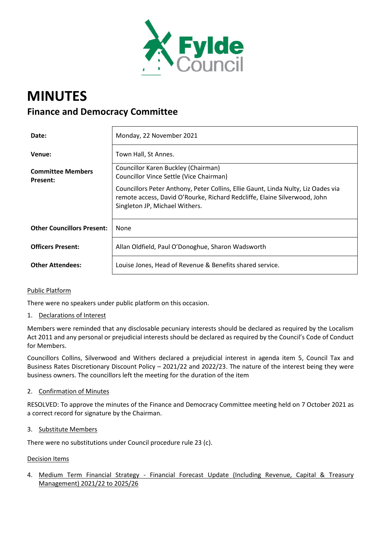

# **MINUTES Finance and Democracy Committee**

| Date:                                       | Monday, 22 November 2021                                                                                                                                                                         |
|---------------------------------------------|--------------------------------------------------------------------------------------------------------------------------------------------------------------------------------------------------|
| Venue:                                      | Town Hall, St Annes.                                                                                                                                                                             |
| <b>Committee Members</b><br><b>Present:</b> | Councillor Karen Buckley (Chairman)<br>Councillor Vince Settle (Vice Chairman)                                                                                                                   |
|                                             | Councillors Peter Anthony, Peter Collins, Ellie Gaunt, Linda Nulty, Liz Oades via<br>remote access, David O'Rourke, Richard Redcliffe, Elaine Silverwood, John<br>Singleton JP, Michael Withers. |
| <b>Other Councillors Present:</b>           | None                                                                                                                                                                                             |
| <b>Officers Present:</b>                    | Allan Oldfield, Paul O'Donoghue, Sharon Wadsworth                                                                                                                                                |
| <b>Other Attendees:</b>                     | Louise Jones, Head of Revenue & Benefits shared service.                                                                                                                                         |

# Public Platform

There were no speakers under public platform on this occasion.

1. Declarations of Interest

Members were reminded that any disclosable pecuniary interests should be declared as required by the Localism Act 2011 and any personal or prejudicial interests should be declared as required by the Council's Code of Conduct for Members.

Councillors Collins, Silverwood and Withers declared a prejudicial interest in agenda item 5, Council Tax and Business Rates Discretionary Discount Policy – 2021/22 and 2022/23. The nature of the interest being they were business owners. The councillors left the meeting for the duration of the item

2. Confirmation of Minutes

RESOLVED: To approve the minutes of the Finance and Democracy Committee meeting held on 7 October 2021 as a correct record for signature by the Chairman.

3. Substitute Members

There were no substitutions under Council procedure rule 23 (c).

#### Decision Items

4. Medium Term Financial Strategy - Financial Forecast Update (Including Revenue, Capital & Treasury Management) 2021/22 to 2025/26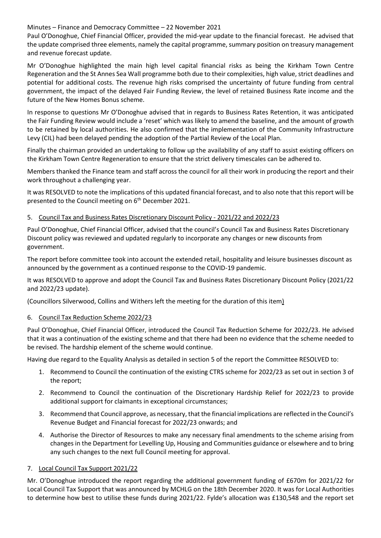## Minutes – Finance and Democracy Committee – 22 November 2021

Paul O'Donoghue, Chief Financial Officer, provided the mid-year update to the financial forecast. He advised that the update comprised three elements, namely the capital programme, summary position on treasury management and revenue forecast update.

Mr O'Donoghue highlighted the main high level capital financial risks as being the Kirkham Town Centre Regeneration and the St Annes Sea Wall programme both due to their complexities, high value, strict deadlines and potential for additional costs. The revenue high risks comprised the uncertainty of future funding from central government, the impact of the delayed Fair Funding Review, the level of retained Business Rate income and the future of the New Homes Bonus scheme.

In response to questions Mr O'Donoghue advised that in regards to Business Rates Retention, it was anticipated the Fair Funding Review would include a 'reset' which was likely to amend the baseline, and the amount of growth to be retained by local authorities. He also confirmed that the implementation of the Community Infrastructure Levy (CIL) had been delayed pending the adoption of the Partial Review of the Local Plan.

Finally the chairman provided an undertaking to follow up the availability of any staff to assist existing officers on the Kirkham Town Centre Regeneration to ensure that the strict delivery timescales can be adhered to.

Members thanked the Finance team and staff across the council for all their work in producing the report and their work throughout a challenging year.

It was RESOLVED to note the implications of this updated financial forecast, and to also note that this report will be presented to the Council meeting on 6<sup>th</sup> December 2021.

## 5. Council Tax and Business Rates Discretionary Discount Policy - 2021/22 and 2022/23

Paul O'Donoghue, Chief Financial Officer, advised that the council's Council Tax and Business Rates Discretionary Discount policy was reviewed and updated regularly to incorporate any changes or new discounts from government.

The report before committee took into account the extended retail, hospitality and leisure businesses discount as announced by the government as a continued response to the COVID-19 pandemic.

It was RESOLVED to approve and adopt the Council Tax and Business Rates Discretionary Discount Policy (2021/22 and 2022/23 update).

(Councillors Silverwood, Collins and Withers left the meeting for the duration of this item)

# 6. Council Tax Reduction Scheme 2022/23

Paul O'Donoghue, Chief Financial Officer, introduced the Council Tax Reduction Scheme for 2022/23. He advised that it was a continuation of the existing scheme and that there had been no evidence that the scheme needed to be revised. The hardship element of the scheme would continue.

Having due regard to the Equality Analysis as detailed in section 5 of the report the Committee RESOLVED to:

- 1. Recommend to Council the continuation of the existing CTRS scheme for 2022/23 as set out in section 3 of the report;
- 2. Recommend to Council the continuation of the Discretionary Hardship Relief for 2022/23 to provide additional support for claimants in exceptional circumstances;
- 3. Recommend that Council approve, as necessary, that the financial implications are reflected in the Council's Revenue Budget and Financial forecast for 2022/23 onwards; and
- 4. Authorise the Director of Resources to make any necessary final amendments to the scheme arising from changes in the Department for Levelling Up, Housing and Communities guidance or elsewhere and to bring any such changes to the next full Council meeting for approval.

# 7. Local Council Tax Support 2021/22

Mr. O'Donoghue introduced the report regarding the additional government funding of £670m for 2021/22 for Local Council Tax Support that was announced by MCHLG on the 18th December 2020. It was for Local Authorities to determine how best to utilise these funds during 2021/22. Fylde's allocation was £130,548 and the report set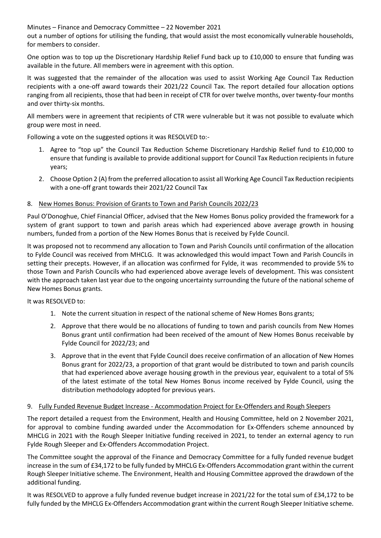Minutes – Finance and Democracy Committee – 22 November 2021

out a number of options for utilising the funding, that would assist the most economically vulnerable households, for members to consider.

One option was to top up the Discretionary Hardship Relief Fund back up to £10,000 to ensure that funding was available in the future. All members were in agreement with this option.

It was suggested that the remainder of the allocation was used to assist Working Age Council Tax Reduction recipients with a one-off award towards their 2021/22 Council Tax. The report detailed four allocation options ranging from all recipients, those that had been in receipt of CTR for over twelve months, over twenty-four months and over thirty-six months.

All members were in agreement that recipients of CTR were vulnerable but it was not possible to evaluate which group were most in need.

Following a vote on the suggested options it was RESOLVED to:-

- 1. Agree to "top up" the Council Tax Reduction Scheme Discretionary Hardship Relief fund to £10,000 to ensure that funding is available to provide additional support for Council Tax Reduction recipients in future years;
- 2. Choose Option 2 (A) from the preferred allocation to assist all Working Age Council Tax Reduction recipients with a one-off grant towards their 2021/22 Council Tax

## 8. New Homes Bonus: Provision of Grants to Town and Parish Councils 2022/23

Paul O'Donoghue, Chief Financial Officer, advised that the New Homes Bonus policy provided the framework for a system of grant support to town and parish areas which had experienced above average growth in housing numbers, funded from a portion of the New Homes Bonus that is received by Fylde Council.

It was proposed not to recommend any allocation to Town and Parish Councils until confirmation of the allocation to Fylde Council was received from MHCLG. It was acknowledged this would impact Town and Parish Councils in setting their precepts. However, if an allocation was confirmed for Fylde, it was recommended to provide 5% to those Town and Parish Councils who had experienced above average levels of development. This was consistent with the approach taken last year due to the ongoing uncertainty surrounding the future of the national scheme of New Homes Bonus grants.

#### It was RESOLVED to:

- 1. Note the current situation in respect of the national scheme of New Homes Bons grants;
- 2. Approve that there would be no allocations of funding to town and parish councils from New Homes Bonus grant until confirmation had been received of the amount of New Homes Bonus receivable by Fylde Council for 2022/23; and
- 3. Approve that in the event that Fylde Council does receive confirmation of an allocation of New Homes Bonus grant for 2022/23, a proportion of that grant would be distributed to town and parish councils that had experienced above average housing growth in the previous year, equivalent to a total of 5% of the latest estimate of the total New Homes Bonus income received by Fylde Council, using the distribution methodology adopted for previous years.

#### 9. Fully Funded Revenue Budget Increase - Accommodation Project for Ex-Offenders and Rough Sleepers

The report detailed a request from the Environment, Health and Housing Committee, held on 2 November 2021, for approval to combine funding awarded under the Accommodation for Ex-Offenders scheme announced by MHCLG in 2021 with the Rough Sleeper Initiative funding received in 2021, to tender an external agency to run Fylde Rough Sleeper and Ex-Offenders Accommodation Project.

The Committee sought the approval of the Finance and Democracy Committee for a fully funded revenue budget increase in the sum of £34,172 to be fully funded by MHCLG Ex-Offenders Accommodation grant within the current Rough Sleeper Initiative scheme. The Environment, Health and Housing Committee approved the drawdown of the additional funding.

It was RESOLVED to approve a fully funded revenue budget increase in 2021/22 for the total sum of £34,172 to be fully funded by the MHCLG Ex-Offenders Accommodation grant within the current Rough Sleeper Initiative scheme.